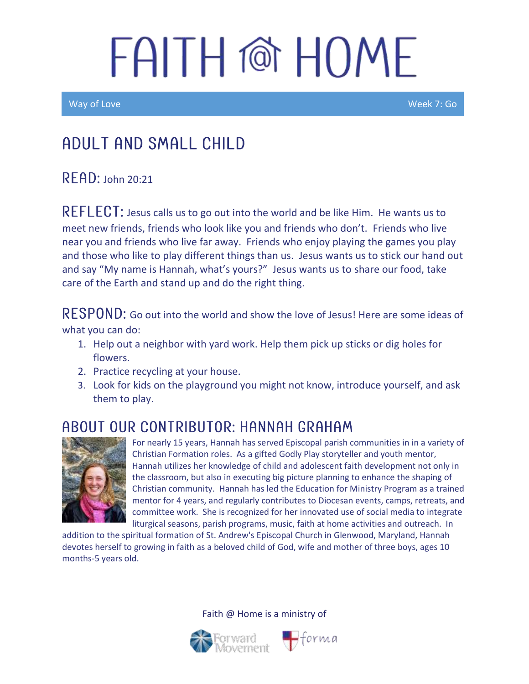Way of Love New York Control of the Control of the Control of the Control of the Week 7: Go

### Adult and Small Child

 $R$  $F$  $AD:$  John 20:21

REFLECT: Jesus calls us to go out into the world and be like Him. He wants us to meet new friends, friends who look like you and friends who don't. Friends who live near you and friends who live far away. Friends who enjoy playing the games you play and those who like to play different things than us. Jesus wants us to stick our hand out and say "My name is Hannah, what's yours?" Jesus wants us to share our food, take care of the Earth and stand up and do the right thing.

RESPOND: Go out into the world and show the love of Jesus! Here are some ideas of what you can do:

- 1. Help out a neighbor with yard work. Help them pick up sticks or dig holes for flowers.
- 2. Practice recycling at your house.
- 3. Look for kids on the playground you might not know, introduce yourself, and ask them to play.

### ABOUT OUR CONTRIBUTOR: HANNAH GRAHAM



For nearly 15 years, Hannah has served Episcopal parish communities in in a variety of Christian Formation roles. As a gifted Godly Play storyteller and youth mentor, Hannah utilizes her knowledge of child and adolescent faith development not only in the classroom, but also in executing big picture planning to enhance the shaping of Christian community. Hannah has led the Education for Ministry Program as a trained mentor for 4 years, and regularly contributes to Diocesan events, camps, retreats, and committee work. She is recognized for her innovated use of social media to integrate liturgical seasons, parish programs, music, faith at home activities and outreach. In

 $\blacksquare$ forma

addition to the spiritual formation of St. Andrew's Episcopal Church in Glenwood, Maryland, Hannah devotes herself to growing in faith as a beloved child of God, wife and mother of three boys, ages 10 months-5 years old.

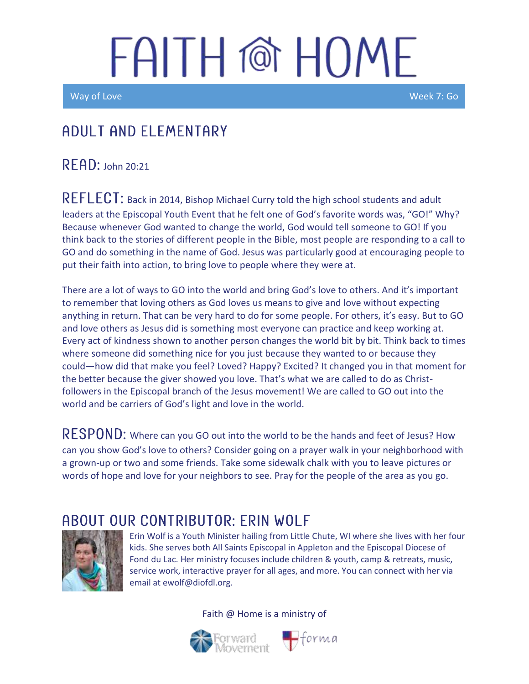Way of Love Week 7: Go

I

### A DUIT AND FLEMENTARY

READ: John 20:21

REFLECT: Back in 2014, Bishop Michael Curry told the high school students and adult leaders at the Episcopal Youth Event that he felt one of God's favorite words was, "GO!" Why? Because whenever God wanted to change the world, God would tell someone to GO! If you think back to the stories of different people in the Bible, most people are responding to a call to GO and do something in the name of God. Jesus was particularly good at encouraging people to put their faith into action, to bring love to people where they were at.

There are a lot of ways to GO into the world and bring God's love to others. And it's important to remember that loving others as God loves us means to give and love without expecting anything in return. That can be very hard to do for some people. For others, it's easy. But to GO and love others as Jesus did is something most everyone can practice and keep working at. Every act of kindness shown to another person changes the world bit by bit. Think back to times where someone did something nice for you just because they wanted to or because they could—how did that make you feel? Loved? Happy? Excited? It changed you in that moment for the better because the giver showed you love. That's what we are called to do as Christfollowers in the Episcopal branch of the Jesus movement! We are called to GO out into the world and be carriers of God's light and love in the world.

RESPOND: Where can you GO out into the world to be the hands and feet of Jesus? How can you show God's love to others? Consider going on a prayer walk in your neighborhood with a grown-up or two and some friends. Take some sidewalk chalk with you to leave pictures or words of hope and love for your neighbors to see. Pray for the people of the area as you go.

### ABOUT OUR CONTRIBUTOR: ERIN WOLF



Erin Wolf is a Youth Minister hailing from Little Chute, WI where she lives with her four kids. She serves both All Saints Episcopal in Appleton and the Episcopal Diocese of Fond du Lac. Her ministry focuses include children & youth, camp & retreats, music, service work, interactive prayer for all ages, and more. You can connect with her via email at ewolf@diofdl.org.



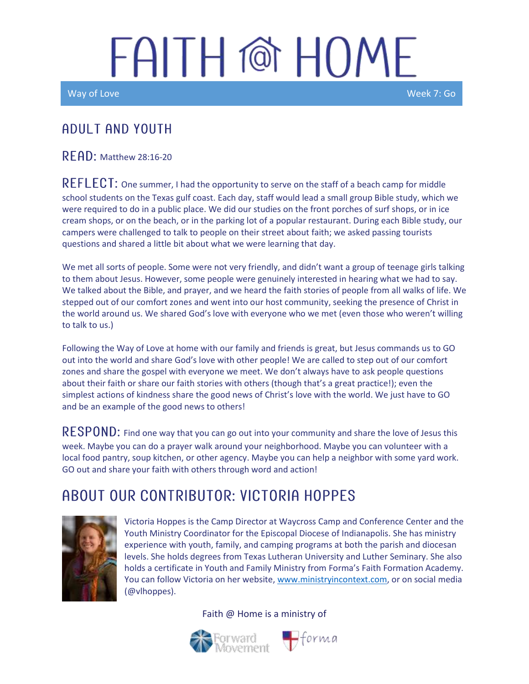Way of Love New York Control of the Control of the Control of the Control of the Week 7: Go

#### A DULT AND YOUTH

 $READ:$  Matthew 28:16-20

REFLECT: One summer, I had the opportunity to serve on the staff of a beach camp for middle school students on the Texas gulf coast. Each day, staff would lead a small group Bible study, which we were required to do in a public place. We did our studies on the front porches of surf shops, or in ice cream shops, or on the beach, or in the parking lot of a popular restaurant. During each Bible study, our campers were challenged to talk to people on their street about faith; we asked passing tourists questions and shared a little bit about what we were learning that day.

We met all sorts of people. Some were not very friendly, and didn't want a group of teenage girls talking to them about Jesus. However, some people were genuinely interested in hearing what we had to say. We talked about the Bible, and prayer, and we heard the faith stories of people from all walks of life. We stepped out of our comfort zones and went into our host community, seeking the presence of Christ in the world around us. We shared God's love with everyone who we met (even those who weren't willing to talk to us.)

Following the Way of Love at home with our family and friends is great, but Jesus commands us to GO out into the world and share God's love with other people! We are called to step out of our comfort zones and share the gospel with everyone we meet. We don't always have to ask people questions about their faith or share our faith stories with others (though that's a great practice!); even the simplest actions of kindness share the good news of Christ's love with the world. We just have to GO and be an example of the good news to others!

 $RESPOND:$  Find one way that you can go out into your community and share the love of Jesus this week. Maybe you can do a prayer walk around your neighborhood. Maybe you can volunteer with a local food pantry, soup kitchen, or other agency. Maybe you can help a neighbor with some yard work. GO out and share your faith with others through word and action!

### ABOUT OUR CONTRIBUTOR: VICTORIA HOPPES



Victoria Hoppes is the Camp Director at Waycross Camp and Conference Center and the Youth Ministry Coordinator for the Episcopal Diocese of Indianapolis. She has ministry experience with youth, family, and camping programs at both the parish and diocesan levels. She holds degrees from Texas Lutheran University and Luther Seminary. She also holds a certificate in Youth and Family Ministry from Forma's Faith Formation Academy. You can follow Victoria on her website, [www.ministryincontext.com,](http://www.ministryincontext.com/) or on social media (@vlhoppes).